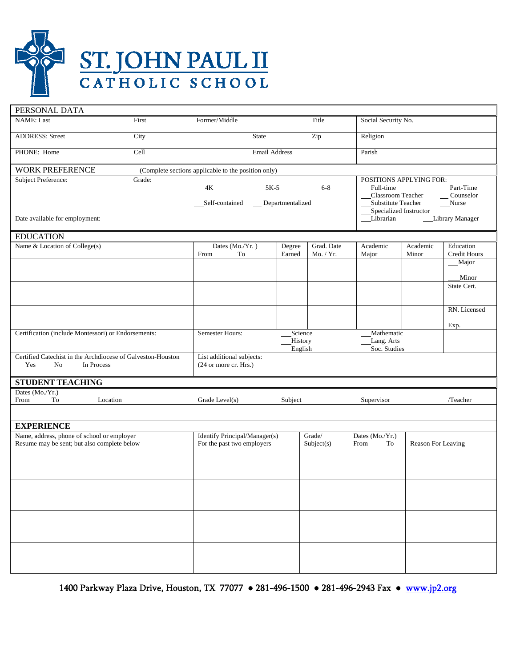

| PERSONAL DATA                                                                                                                               |        |                                                                   |                  |                                          |                                                                                                                                                                              |                    |                                    |  |
|---------------------------------------------------------------------------------------------------------------------------------------------|--------|-------------------------------------------------------------------|------------------|------------------------------------------|------------------------------------------------------------------------------------------------------------------------------------------------------------------------------|--------------------|------------------------------------|--|
| <b>NAME:</b> Last                                                                                                                           | First  | Former/Middle                                                     |                  | Title                                    | Social Security No.                                                                                                                                                          |                    |                                    |  |
| <b>ADDRESS: Street</b>                                                                                                                      | City   | Zip<br><b>State</b>                                               |                  | Religion                                 |                                                                                                                                                                              |                    |                                    |  |
| PHONE: Home                                                                                                                                 | Cell   | <b>Email Address</b>                                              |                  |                                          | Parish                                                                                                                                                                       |                    |                                    |  |
| <b>WORK PREFERENCE</b>                                                                                                                      |        | (Complete sections applicable to the position only)               |                  |                                          |                                                                                                                                                                              |                    |                                    |  |
| <b>Subject Preference:</b>                                                                                                                  | Grade: | $-4K$<br>$5K-5$<br>6-8<br>__Self-contained<br>__ Departmentalized |                  |                                          | POSITIONS APPLYING FOR:<br>Part-Time<br>Full-time<br>Classroom Teacher<br>Counselor<br>Substitute Teacher<br>Nurse<br>Specialized Instructor<br>Librarian<br>Library Manager |                    |                                    |  |
| Date available for employment:                                                                                                              |        |                                                                   |                  |                                          |                                                                                                                                                                              |                    |                                    |  |
| <b>EDUCATION</b>                                                                                                                            |        |                                                                   |                  |                                          |                                                                                                                                                                              |                    |                                    |  |
| Name & Location of College(s)                                                                                                               |        | Dates (Mo./Yr.)<br>From<br>To                                     | Degree<br>Earned | Grad. Date<br>Mo. / Yr.                  | Academic<br>Major                                                                                                                                                            | Academic<br>Minor  | Education<br>Credit Hours<br>Major |  |
|                                                                                                                                             |        |                                                                   |                  |                                          |                                                                                                                                                                              |                    | Minor<br>State Cert.               |  |
|                                                                                                                                             |        |                                                                   |                  |                                          |                                                                                                                                                                              |                    | RN. Licensed<br>Exp.               |  |
| Certification (include Montessori) or Endorsements:                                                                                         |        | Semester Hours:<br>Science<br><b>History</b><br>English           |                  | Mathematic<br>Lang. Arts<br>Soc. Studies |                                                                                                                                                                              |                    |                                    |  |
| Certified Catechist in the Archdiocese of Galveston-Houston<br>List additional subjects:<br>$Yes$ No<br>In Process<br>(24 or more cr. Hrs.) |        |                                                                   |                  |                                          |                                                                                                                                                                              |                    |                                    |  |
| <b>STUDENT TEACHING</b>                                                                                                                     |        |                                                                   |                  |                                          |                                                                                                                                                                              |                    |                                    |  |
| Dates (Mo./Yr.)<br>To<br>Location<br>From                                                                                                   |        | Grade Level(s)<br>Subject                                         |                  | Supervisor<br>/Teacher                   |                                                                                                                                                                              |                    |                                    |  |
|                                                                                                                                             |        |                                                                   |                  |                                          |                                                                                                                                                                              |                    |                                    |  |
| <b>EXPERIENCE</b>                                                                                                                           |        |                                                                   |                  |                                          |                                                                                                                                                                              |                    |                                    |  |
| Name, address, phone of school or employer<br>Resume may be sent; but also complete below                                                   |        | Identify Principal/Manager(s)<br>For the past two employers       |                  | Grade/<br>Subject(s)                     | Dates (Mo./Yr.)<br>From<br>To                                                                                                                                                | Reason For Leaving |                                    |  |
|                                                                                                                                             |        |                                                                   |                  |                                          |                                                                                                                                                                              |                    |                                    |  |
|                                                                                                                                             |        |                                                                   |                  |                                          |                                                                                                                                                                              |                    |                                    |  |
|                                                                                                                                             |        |                                                                   |                  |                                          |                                                                                                                                                                              |                    |                                    |  |
|                                                                                                                                             |        |                                                                   |                  |                                          |                                                                                                                                                                              |                    |                                    |  |
|                                                                                                                                             |        |                                                                   |                  |                                          |                                                                                                                                                                              |                    |                                    |  |

1400 Parkway Plaza Drive, Houston, TX 77077 • 281-496-1500 • 281-496-2943 Fax • www.jp2.org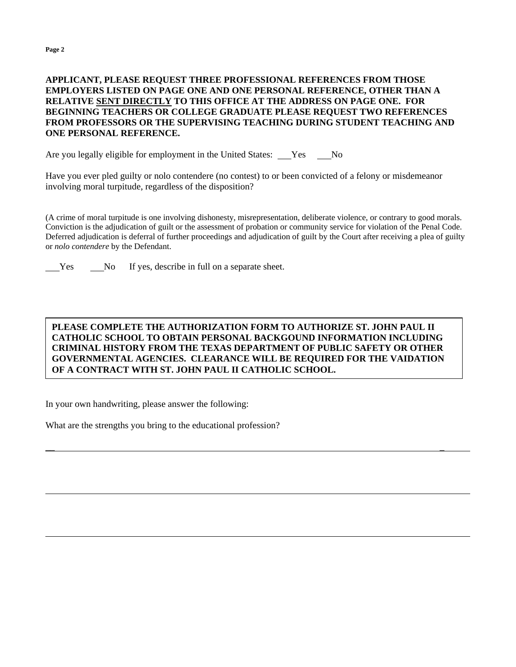l

l

## **APPLICANT, PLEASE REQUEST THREE PROFESSIONAL REFERENCES FROM THOSE EMPLOYERS LISTED ON PAGE ONE AND ONE PERSONAL REFERENCE, OTHER THAN A RELATIVE SENT DIRECTLY TO THIS OFFICE AT THE ADDRESS ON PAGE ONE. FOR BEGINNING TEACHERS OR COLLEGE GRADUATE PLEASE REQUEST TWO REFERENCES FROM PROFESSORS OR THE SUPERVISING TEACHING DURING STUDENT TEACHING AND ONE PERSONAL REFERENCE.**

Are you legally eligible for employment in the United States: Yes No

Have you ever pled guilty or nolo contendere (no contest) to or been convicted of a felony or misdemeanor involving moral turpitude, regardless of the disposition?

(A crime of moral turpitude is one involving dishonesty, misrepresentation, deliberate violence, or contrary to good morals. Conviction is the adjudication of guilt or the assessment of probation or community service for violation of the Penal Code. Deferred adjudication is deferral of further proceedings and adjudication of guilt by the Court after receiving a plea of guilty or *nolo contendere* by the Defendant.

Yes No If yes, describe in full on a separate sheet.

## **PLEASE COMPLETE THE AUTHORIZATION FORM TO AUTHORIZE ST. JOHN PAUL II CATHOLIC SCHOOL TO OBTAIN PERSONAL BACKGOUND INFORMATION INCLUDING CRIMINAL HISTORY FROM THE TEXAS DEPARTMENT OF PUBLIC SAFETY OR OTHER GOVERNMENTAL AGENCIES. CLEARANCE WILL BE REQUIRED FOR THE VAIDATION OF A CONTRACT WITH ST. JOHN PAUL II CATHOLIC SCHOOL.**

\_\_ \_

In your own handwriting, please answer the following:

What are the strengths you bring to the educational profession?